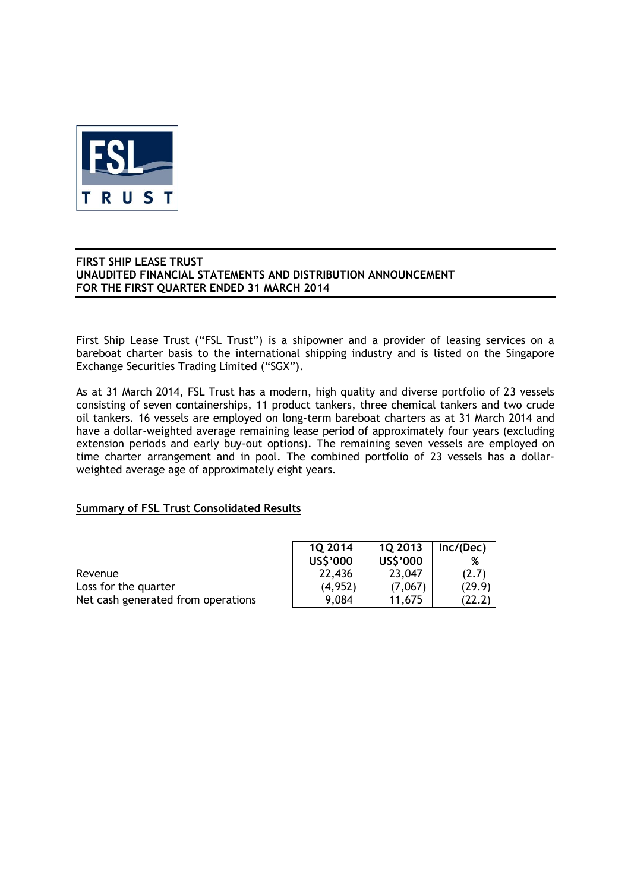

First Ship Lease Trust ("FSL Trust") is a shipowner and a provider of leasing services on a bareboat charter basis to the international shipping industry and is listed on the Singapore Exchange Securities Trading Limited ("SGX").

As at 31 March 2014, FSL Trust has a modern, high quality and diverse portfolio of 23 vessels consisting of seven containerships, 11 product tankers, three chemical tankers and two crude oil tankers. 16 vessels are employed on long-term bareboat charters as at 31 March 2014 and have a dollar-weighted average remaining lease period of approximately four years (excluding extension periods and early buy-out options). The remaining seven vessels are employed on time charter arrangement and in pool. The combined portfolio of 23 vessels has a dollarweighted average age of approximately eight years.

## **Summary of FSL Trust Consolidated Results**

|                                    | 10 2014  | 10 2013  | Inc/(Dec) |
|------------------------------------|----------|----------|-----------|
|                                    | US\$'000 | US\$'000 | %         |
| Revenue                            | 22,436   | 23,047   | (2.7)     |
| Loss for the quarter               | (4, 952) | (7,067)  | (29.9)    |
| Net cash generated from operations | 9.084    | 11.675   | (22.2)    |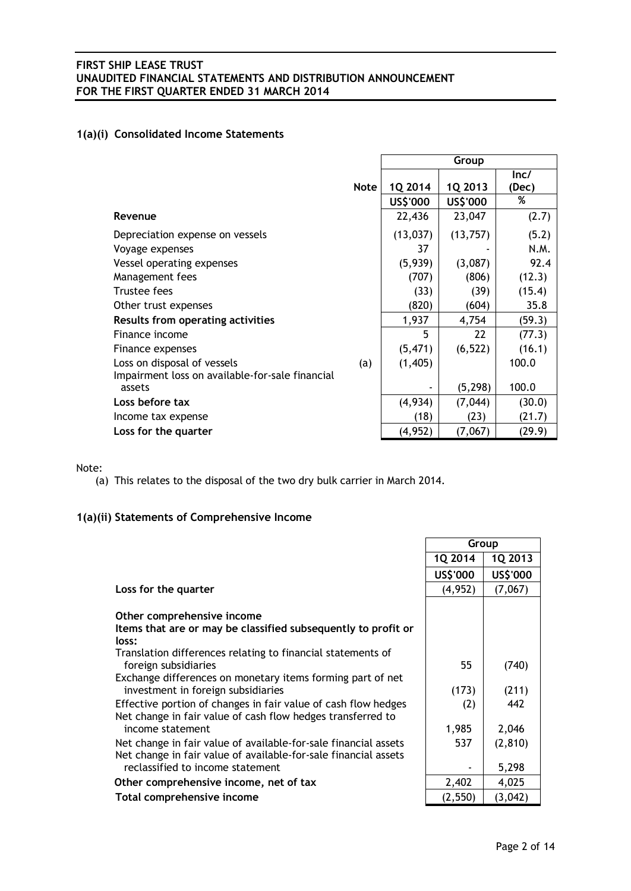## **1(a)(i) Consolidated Income Statements**

|                                                           |             | Group     |           |        |  |
|-----------------------------------------------------------|-------------|-----------|-----------|--------|--|
|                                                           |             |           |           | lnc/   |  |
|                                                           | <b>Note</b> | 1Q 2014   | 1Q 2013   | (Dec)  |  |
|                                                           |             | US\$'000  | US\$'000  | %      |  |
| Revenue                                                   |             | 22,436    | 23,047    | (2.7)  |  |
| Depreciation expense on vessels                           |             | (13, 037) | (13, 757) | (5.2)  |  |
| Voyage expenses                                           |             | 37        |           | N.M.   |  |
| Vessel operating expenses                                 |             | (5,939)   | (3,087)   | 92.4   |  |
| Management fees                                           |             | (707)     | (806)     | (12.3) |  |
| Trustee fees                                              |             | (33)      | (39)      | (15.4) |  |
| Other trust expenses                                      |             | (820)     | (604)     | 35.8   |  |
| <b>Results from operating activities</b>                  |             | 1,937     | 4,754     | (59.3) |  |
| Finance income                                            |             | 5         | 22        | (77.3) |  |
| Finance expenses                                          |             | (5, 471)  | (6, 522)  | (16.1) |  |
| Loss on disposal of vessels                               | (a)         | (1,405)   |           | 100.0  |  |
| Impairment loss on available-for-sale financial<br>assets |             |           | (5, 298)  | 100.0  |  |
| Loss before tax                                           |             | (4,934)   | (7,044)   | (30.0) |  |
| Income tax expense                                        |             | (18)      | (23)      | (21.7) |  |
| Loss for the quarter                                      |             | (4, 952)  | (7,067)   | (29.9) |  |

### Note:

(a) This relates to the disposal of the two dry bulk carrier in March 2014.

## **1(a)(ii) Statements of Comprehensive Income**

|                                                                                                                               | 1Q 2014  | 1Q 2013  |
|-------------------------------------------------------------------------------------------------------------------------------|----------|----------|
|                                                                                                                               | US\$'000 | US\$'000 |
| Loss for the quarter                                                                                                          | (4, 952) | (7,067)  |
| Other comprehensive income<br>Items that are or may be classified subsequently to profit or                                   |          |          |
| loss:                                                                                                                         |          |          |
| Translation differences relating to financial statements of<br>foreign subsidiaries                                           | 55       | (740)    |
| Exchange differences on monetary items forming part of net<br>investment in foreign subsidiaries                              | (173)    | (211)    |
| Effective portion of changes in fair value of cash flow hedges<br>Net change in fair value of cash flow hedges transferred to | (2)      | 442      |
| income statement                                                                                                              | 1,985    | 2,046    |
| Net change in fair value of available-for-sale financial assets                                                               | 537      | (2, 810) |
| Net change in fair value of available-for-sale financial assets<br>reclassified to income statement                           |          | 5,298    |
| Other comprehensive income, net of tax                                                                                        | 2,402    | 4,025    |
| Total comprehensive income                                                                                                    | (2, 550) | (3,042)  |

**Group**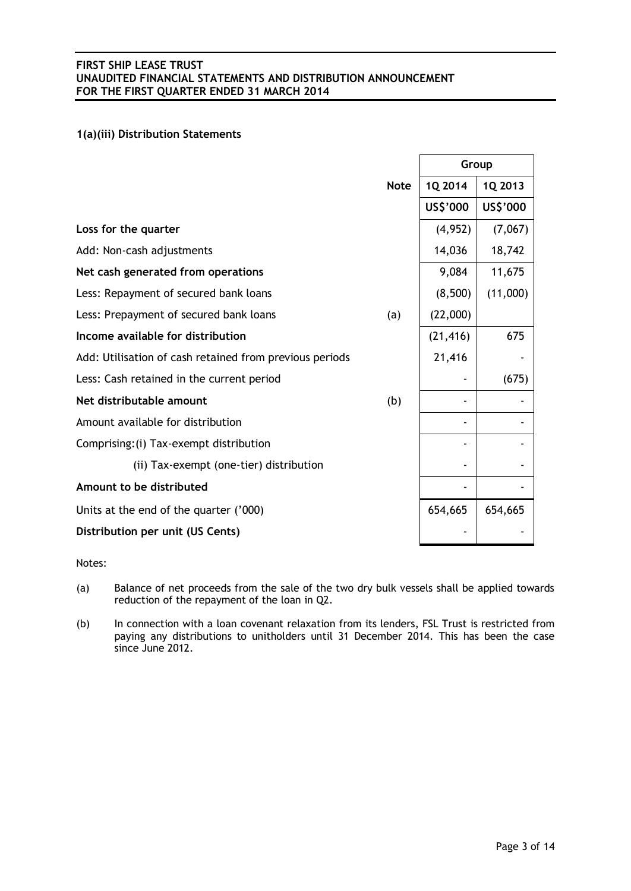## **1(a)(iii) Distribution Statements**

|                                                         |             | Group     |          |
|---------------------------------------------------------|-------------|-----------|----------|
|                                                         | <b>Note</b> | 1Q 2014   | 1Q 2013  |
|                                                         |             | US\$'000  | US\$'000 |
| Loss for the quarter                                    |             | (4, 952)  | (7,067)  |
| Add: Non-cash adjustments                               |             | 14,036    | 18,742   |
| Net cash generated from operations                      |             | 9,084     | 11,675   |
| Less: Repayment of secured bank loans                   |             | (8,500)   | (11,000) |
| Less: Prepayment of secured bank loans                  | (a)         | (22,000)  |          |
| Income available for distribution                       |             | (21, 416) | 675      |
| Add: Utilisation of cash retained from previous periods |             | 21,416    |          |
| Less: Cash retained in the current period               |             |           | (675)    |
| Net distributable amount                                | (b)         |           |          |
| Amount available for distribution                       |             |           |          |
| Comprising: (i) Tax-exempt distribution                 |             |           |          |
| (ii) Tax-exempt (one-tier) distribution                 |             |           |          |
| Amount to be distributed                                |             |           |          |
| Units at the end of the quarter ('000)                  |             | 654,665   | 654,665  |
| Distribution per unit (US Cents)                        |             |           |          |

Notes:

- (a) Balance of net proceeds from the sale of the two dry bulk vessels shall be applied towards reduction of the repayment of the loan in Q2.
- (b) In connection with a loan covenant relaxation from its lenders, FSL Trust is restricted from paying any distributions to unitholders until 31 December 2014. This has been the case since June 2012.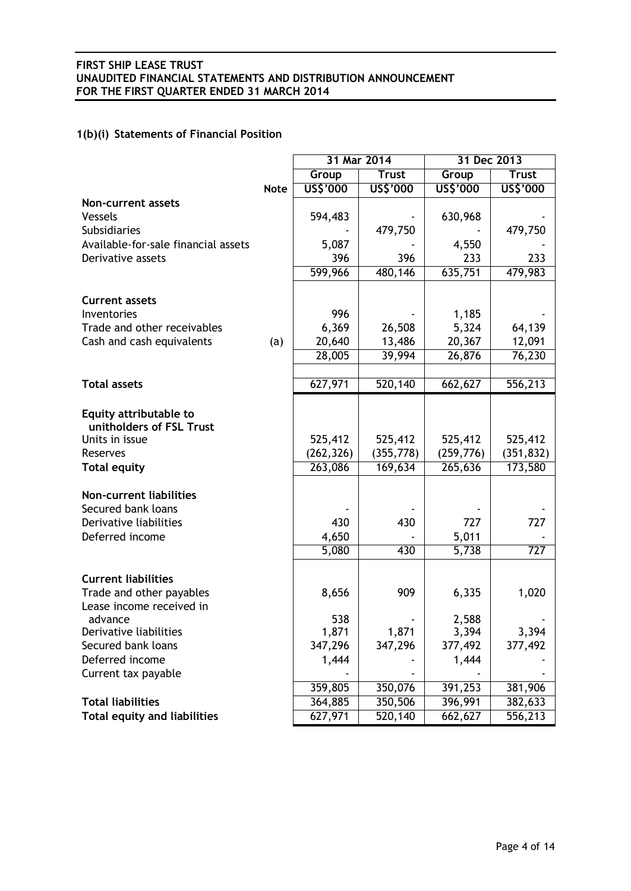# **1(b)(i) Statements of Financial Position**

|                                     |             | 31 Mar 2014           |                       | 31 Dec 2013           |                       |
|-------------------------------------|-------------|-----------------------|-----------------------|-----------------------|-----------------------|
|                                     |             | Group                 | <b>Trust</b>          | Group                 | <b>Trust</b>          |
|                                     | <b>Note</b> | US\$'000              | US\$'000              | US\$'000              | US\$'000              |
| <b>Non-current assets</b>           |             |                       |                       |                       |                       |
| Vessels                             |             | 594,483               |                       | 630,968               |                       |
| <b>Subsidiaries</b>                 |             |                       | 479,750               |                       | 479,750               |
| Available-for-sale financial assets |             | 5,087                 |                       | 4,550                 |                       |
| Derivative assets                   |             | 396                   | 396                   | 233                   | 233                   |
|                                     |             | 599,966               | 480,146               | 635,751               | 479,983               |
|                                     |             |                       |                       |                       |                       |
| <b>Current assets</b>               |             |                       |                       |                       |                       |
| Inventories                         |             | 996                   |                       | 1,185                 |                       |
| Trade and other receivables         |             | 6,369                 | 26,508                | 5,324                 | 64,139                |
| Cash and cash equivalents           | (a)         | 20,640                | 13,486                | 20,367                | 12,091                |
|                                     |             | 28,005                | 39,994                | 26,876                | 76,230                |
|                                     |             |                       |                       |                       |                       |
| <b>Total assets</b>                 |             | 627,971               | 520,140               | 662,627               | 556,213               |
|                                     |             |                       |                       |                       |                       |
| Equity attributable to              |             |                       |                       |                       |                       |
| unitholders of FSL Trust            |             |                       |                       |                       |                       |
| Units in issue                      |             | 525,412               | 525,412               | 525,412               | 525,412               |
| Reserves                            |             | (262, 326)<br>263,086 | (355, 778)<br>169,634 | (259, 776)<br>265,636 | (351, 832)<br>173,580 |
| <b>Total equity</b>                 |             |                       |                       |                       |                       |
| <b>Non-current liabilities</b>      |             |                       |                       |                       |                       |
| Secured bank loans                  |             |                       |                       |                       |                       |
| Derivative liabilities              |             | 430                   | 430                   | 727                   | 727                   |
| Deferred income                     |             | 4,650                 |                       | 5,011                 |                       |
|                                     |             | 5,080                 | 430                   | 5,738                 | 727                   |
|                                     |             |                       |                       |                       |                       |
| <b>Current liabilities</b>          |             |                       |                       |                       |                       |
| Trade and other payables            |             | 8,656                 | 909                   | 6,335                 | 1,020                 |
| Lease income received in            |             |                       |                       |                       |                       |
| advance                             |             | 538                   |                       | 2,588                 |                       |
| Derivative liabilities              |             | 1,871                 | 1,871                 | 3,394                 | 3,394                 |
| Secured bank loans                  |             | 347,296               | 347,296               | 377,492               | 377,492               |
| Deferred income                     |             | 1,444                 |                       | 1,444                 |                       |
| Current tax payable                 |             |                       |                       |                       |                       |
|                                     |             | 359,805               | 350,076               | 391,253               | 381,906               |
| <b>Total liabilities</b>            |             | 364,885               | 350,506               | 396,991               | 382,633               |
| <b>Total equity and liabilities</b> |             | 627,971               | 520,140               | 662,627               | 556,213               |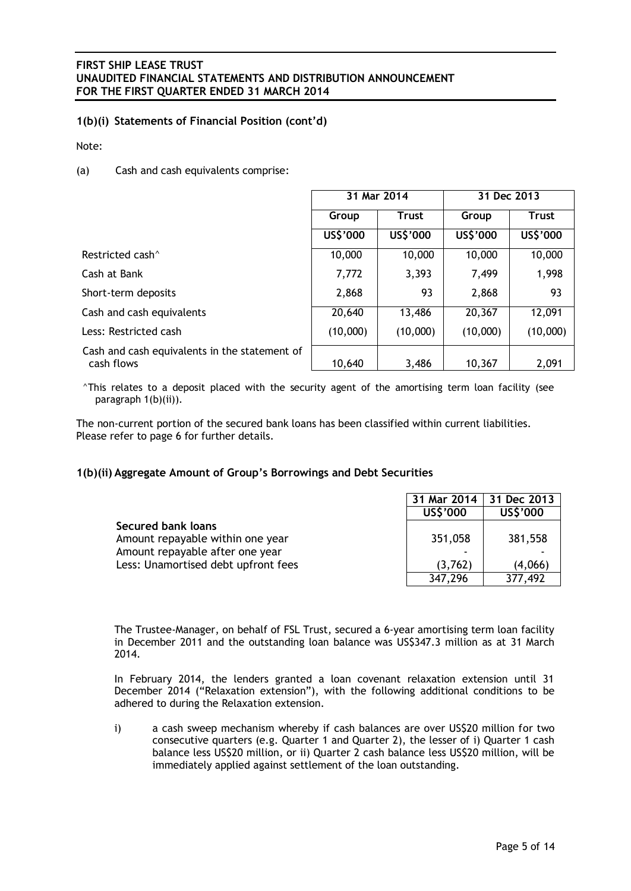## **1(b)(i) Statements of Financial Position (cont'd)**

Note:

(a) Cash and cash equivalents comprise:

|                                                             | 31 Mar 2014 |              | 31 Dec 2013 |              |
|-------------------------------------------------------------|-------------|--------------|-------------|--------------|
|                                                             | Group       | <b>Trust</b> | Group       | <b>Trust</b> |
|                                                             | US\$'000    | US\$'000     | US\$'000    | US\$'000     |
| Restricted cash <sup>^</sup>                                | 10,000      | 10,000       | 10,000      | 10,000       |
| Cash at Bank                                                | 7,772       | 3,393        | 7,499       | 1,998        |
| Short-term deposits                                         | 2,868       | 93           | 2,868       | 93           |
| Cash and cash equivalents                                   | 20,640      | 13,486       | 20,367      | 12,091       |
| Less: Restricted cash                                       | (10,000)    | (10,000)     | (10,000)    | (10,000)     |
| Cash and cash equivalents in the statement of<br>cash flows | 10,640      | 3,486        | 10,367      | 2,091        |

^This relates to a deposit placed with the security agent of the amortising term loan facility (see paragraph 1(b)(ii)).

The non-current portion of the secured bank loans has been classified within current liabilities. Please refer to page 6 for further details.

## **1(b)(ii) Aggregate Amount of Group's Borrowings and Debt Securities**

|                                     | 31 Mar 2014 | 31 Dec 2013 |
|-------------------------------------|-------------|-------------|
|                                     | US\$'000    | US\$'000    |
| <b>Secured bank loans</b>           |             |             |
| Amount repayable within one year    | 351,058     | 381,558     |
| Amount repayable after one year     |             |             |
| Less: Unamortised debt upfront fees | (3,762)     | (4,066)     |
|                                     | 347,296     | 377,492     |

The Trustee-Manager, on behalf of FSL Trust, secured a 6-year amortising term loan facility in December 2011 and the outstanding loan balance was US\$347.3 million as at 31 March 2014.

In February 2014, the lenders granted a loan covenant relaxation extension until 31 December 2014 ("Relaxation extension"), with the following additional conditions to be adhered to during the Relaxation extension.

i) a cash sweep mechanism whereby if cash balances are over US\$20 million for two consecutive quarters (e.g. Quarter 1 and Quarter 2), the lesser of i) Quarter 1 cash balance less US\$20 million, or ii) Quarter 2 cash balance less US\$20 million, will be immediately applied against settlement of the loan outstanding.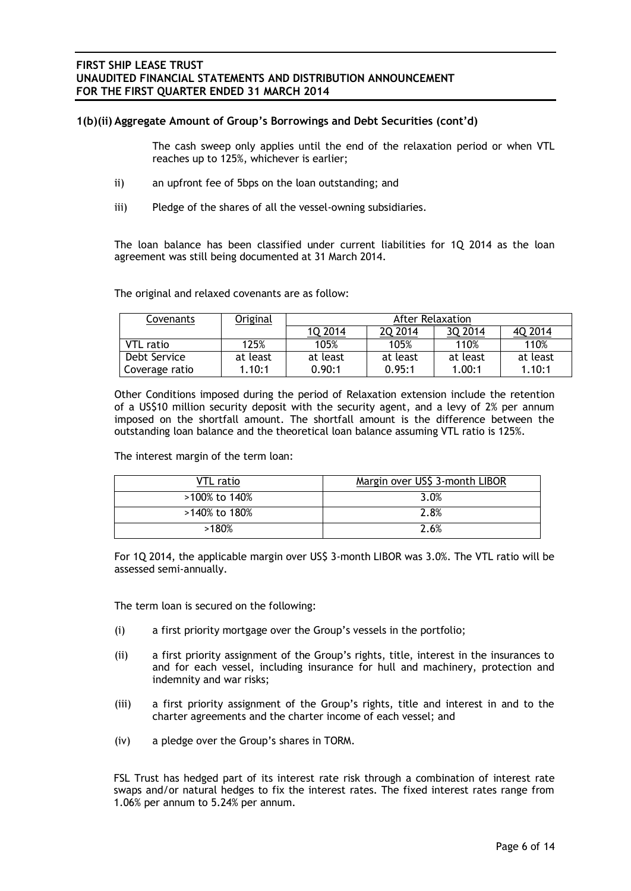## **1(b)(ii) Aggregate Amount of Group's Borrowings and Debt Securities (cont'd)**

The cash sweep only applies until the end of the relaxation period or when VTL reaches up to 125%, whichever is earlier;

- ii) an upfront fee of 5bps on the loan outstanding; and
- iii) Pledge of the shares of all the vessel-owning subsidiaries.

The loan balance has been classified under current liabilities for 1Q 2014 as the loan agreement was still being documented at 31 March 2014.

The original and relaxed covenants are as follow:

| Covenants      | Original | After Relaxation |          |          |          |  |
|----------------|----------|------------------|----------|----------|----------|--|
|                |          | 10 2014          | 20 2014  | 3Q 2014  | 40 2014  |  |
| VTL ratio      | 125%     | 105%             | 105%     | 110%     | 110%     |  |
| Debt Service   | at least | at least         | at least | at least | at least |  |
| Coverage ratio | 1.10:1   | 0.90:1           | 0.95:1   | 1.00:1   | 1.10:1   |  |

Other Conditions imposed during the period of Relaxation extension include the retention of a US\$10 million security deposit with the security agent, and a levy of 2% per annum imposed on the shortfall amount. The shortfall amount is the difference between the outstanding loan balance and the theoretical loan balance assuming VTL ratio is 125%.

The interest margin of the term loan:

| VTL ratio     | Margin over US\$ 3-month LIBOR |
|---------------|--------------------------------|
| >100% to 140% | 3.0%                           |
| >140% to 180% | 2.8%                           |
| >180%         | 2.6%                           |

For 1Q 2014, the applicable margin over US\$ 3-month LIBOR was 3.0%. The VTL ratio will be assessed semi-annually.

The term loan is secured on the following:

- (i) a first priority mortgage over the Group's vessels in the portfolio;
- (ii) a first priority assignment of the Group's rights, title, interest in the insurances to and for each vessel, including insurance for hull and machinery, protection and indemnity and war risks;
- (iii) a first priority assignment of the Group's rights, title and interest in and to the charter agreements and the charter income of each vessel; and
- (iv) a pledge over the Group's shares in TORM.

FSL Trust has hedged part of its interest rate risk through a combination of interest rate swaps and/or natural hedges to fix the interest rates. The fixed interest rates range from 1.06% per annum to 5.24% per annum.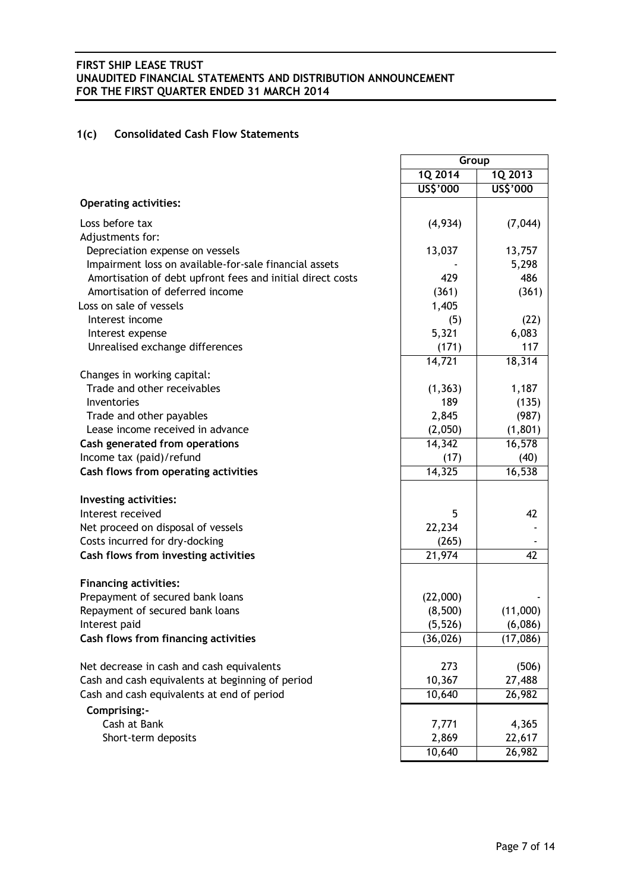# **1(c) Consolidated Cash Flow Statements**

|                                                            | Group     |          |
|------------------------------------------------------------|-----------|----------|
|                                                            | 1Q 2014   | 1Q 2013  |
|                                                            | US\$'000  | US\$'000 |
| <b>Operating activities:</b>                               |           |          |
| Loss before tax                                            | (4,934)   | (7,044)  |
| Adjustments for:                                           |           |          |
| Depreciation expense on vessels                            | 13,037    | 13,757   |
| Impairment loss on available-for-sale financial assets     |           | 5,298    |
| Amortisation of debt upfront fees and initial direct costs | 429       | 486      |
| Amortisation of deferred income                            | (361)     | (361)    |
| Loss on sale of vessels                                    | 1,405     |          |
| Interest income                                            | (5)       | (22)     |
| Interest expense                                           | 5,321     | 6,083    |
| Unrealised exchange differences                            | (171)     | 117      |
|                                                            | 14,721    | 18,314   |
| Changes in working capital:                                |           |          |
| Trade and other receivables                                | (1, 363)  | 1,187    |
| Inventories                                                | 189       | (135)    |
| Trade and other payables                                   | 2,845     | (987)    |
| Lease income received in advance                           | (2,050)   | (1,801)  |
| Cash generated from operations                             | 14,342    | 16,578   |
| Income tax (paid)/refund                                   | (17)      | (40)     |
| Cash flows from operating activities                       | 14,325    | 16,538   |
| Investing activities:                                      |           |          |
| Interest received                                          | 5         | 42       |
| Net proceed on disposal of vessels                         | 22,234    |          |
| Costs incurred for dry-docking                             | (265)     |          |
| Cash flows from investing activities                       | 21,974    | 42       |
| <b>Financing activities:</b>                               |           |          |
| Prepayment of secured bank loans                           | (22,000)  |          |
| Repayment of secured bank loans                            | (8,500)   | (11,000) |
| Interest paid                                              | (5, 526)  | (6,086)  |
| Cash flows from financing activities                       | (36, 026) | (17,086) |
|                                                            |           |          |
| Net decrease in cash and cash equivalents                  | 273       | (506)    |
| Cash and cash equivalents at beginning of period           | 10,367    | 27,488   |
| Cash and cash equivalents at end of period                 | 10,640    | 26,982   |
| Comprising:-                                               |           |          |
| Cash at Bank                                               | 7,771     | 4,365    |
| Short-term deposits                                        | 2,869     | 22,617   |
|                                                            | 10,640    | 26,982   |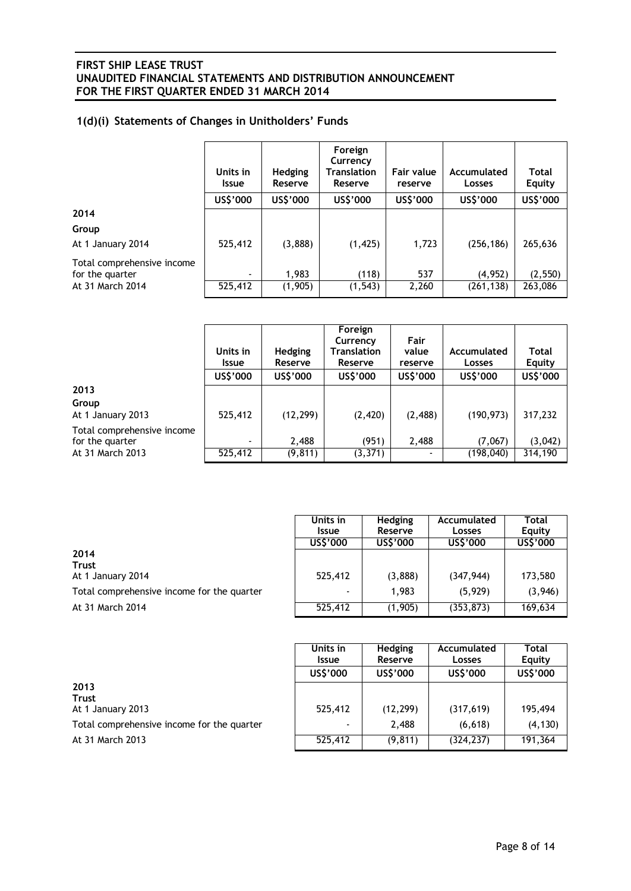# **1(d)(i) Statements of Changes in Unitholders' Funds**

|                                               | Units in<br><b>Issue</b> | <b>Hedging</b><br>Reserve | Foreign<br>Currency<br>Translation<br>Reserve | Fair value<br>reserve | Accumulated<br>Losses | <b>Total</b><br>Equity |
|-----------------------------------------------|--------------------------|---------------------------|-----------------------------------------------|-----------------------|-----------------------|------------------------|
|                                               | US\$'000                 | US\$'000                  | US\$'000                                      | US\$'000              | US\$'000              | US\$'000               |
| 2014                                          |                          |                           |                                               |                       |                       |                        |
| Group                                         |                          |                           |                                               |                       |                       |                        |
| At 1 January 2014                             | 525,412                  | (3,888)                   | (1, 425)                                      | 1,723                 | (256, 186)            | 265,636                |
| Total comprehensive income<br>for the quarter | ۰.                       | 1,983                     | (118)                                         | 537                   | (4,952)               | (2, 550)               |
| At 31 March 2014                              | 525,412                  | (1,905)                   | (1, 543)                                      | 2,260                 | (261, 138)            | 263,086                |

|                                               | Units in<br><b>Issue</b><br>US\$'000 | <b>Hedging</b><br>Reserve<br>US\$'000 | Foreign<br>Currency<br>Translation<br>Reserve<br>US\$'000 | Fair<br>value<br>reserve<br>US\$'000 | Accumulated<br>Losses<br>US\$'000 | <b>Total</b><br>Equity<br>US\$'000 |
|-----------------------------------------------|--------------------------------------|---------------------------------------|-----------------------------------------------------------|--------------------------------------|-----------------------------------|------------------------------------|
| 2013                                          |                                      |                                       |                                                           |                                      |                                   |                                    |
| Group                                         |                                      |                                       |                                                           |                                      |                                   |                                    |
| At 1 January 2013                             | 525,412                              | (12, 299)                             | (2, 420)                                                  | (2,488)                              | (190, 973)                        | 317,232                            |
| Total comprehensive income<br>for the quarter | $\overline{\phantom{0}}$             | 2,488                                 | (951)                                                     | 2,488                                | (7,067)                           | (3,042)                            |
| At 31 March 2013                              | 525,412                              | (9, 811)                              | (3, 371)                                                  | $\overline{\phantom{0}}$             | (198, 040)                        | 314,190                            |

|                                            | Units in<br><b>Issue</b> | <b>Hedging</b><br>Reserve | Accumulated<br>Losses | Total<br>Equity |
|--------------------------------------------|--------------------------|---------------------------|-----------------------|-----------------|
|                                            | US\$'000                 | US\$'000                  | US\$'000              | US\$'000        |
| 2014<br><b>Trust</b><br>At 1 January 2014  | 525,412                  | (3,888)                   | (347, 944)            | 173,580         |
| Total comprehensive income for the quarter | $\overline{\phantom{0}}$ | 1,983                     | (5, 929)              | (3,946)         |
| At 31 March 2014                           | 525,412                  | (1,905)                   | (353, 873)            | 169,634         |

|                                            | Units in     | Hedging   | Accumulated | <b>Total</b> |
|--------------------------------------------|--------------|-----------|-------------|--------------|
|                                            | <b>Issue</b> | Reserve   | Losses      | Equity       |
|                                            | US\$'000     | US\$'000  | US\$'000    | US\$'000     |
| 2013                                       |              |           |             |              |
| <b>Trust</b><br>At 1 January 2013          | 525,412      | (12, 299) | (317,619)   | 195,494      |
| Total comprehensive income for the quarter |              | 2,488     | (6,618)     | (4, 130)     |
| At 31 March 2013                           | 525,412      | (9, 811)  | (324, 237)  | 191,364      |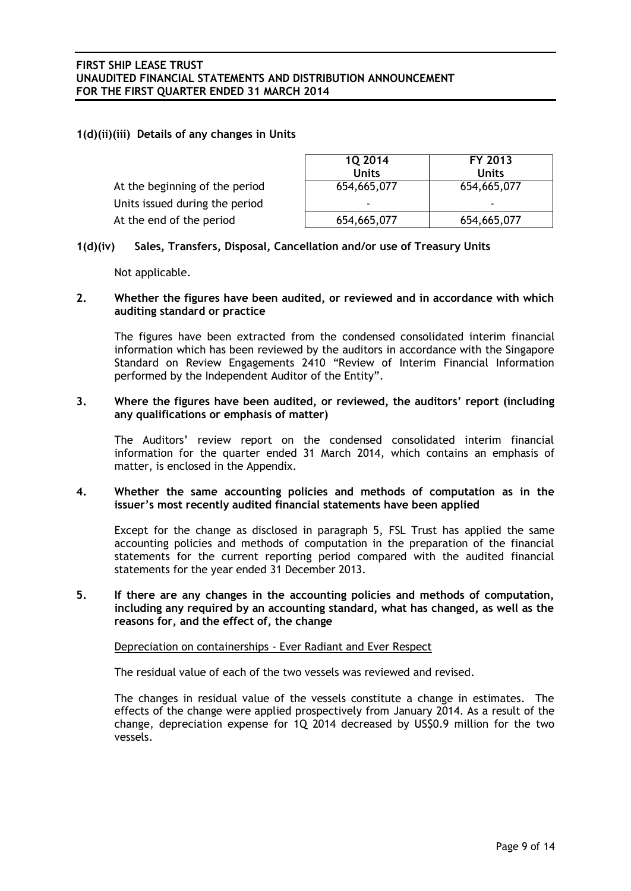## **1(d)(ii)(iii) Details of any changes in Units**

|                                | 1Q 2014     | FY 2013     |
|--------------------------------|-------------|-------------|
|                                | Units       | Units       |
| At the beginning of the period | 654,665,077 | 654,665,077 |
| Units issued during the period |             | -           |
| At the end of the period       | 654,665,077 | 654,665,077 |
|                                |             |             |

## **1(d)(iv) Sales, Transfers, Disposal, Cancellation and/or use of Treasury Units**

Not applicable.

### **2. Whether the figures have been audited, or reviewed and in accordance with which auditing standard or practice**

The figures have been extracted from the condensed consolidated interim financial information which has been reviewed by the auditors in accordance with the Singapore Standard on Review Engagements 2410 "Review of Interim Financial Information performed by the Independent Auditor of the Entity".

### **3. Where the figures have been audited, or reviewed, the auditors' report (including any qualifications or emphasis of matter)**

The Auditors' review report on the condensed consolidated interim financial information for the quarter ended 31 March 2014, which contains an emphasis of matter, is enclosed in the Appendix.

## **4. Whether the same accounting policies and methods of computation as in the issuer's most recently audited financial statements have been applied**

Except for the change as disclosed in paragraph 5, FSL Trust has applied the same accounting policies and methods of computation in the preparation of the financial statements for the current reporting period compared with the audited financial statements for the year ended 31 December 2013.

**5. If there are any changes in the accounting policies and methods of computation, including any required by an accounting standard, what has changed, as well as the reasons for, and the effect of, the change**

## Depreciation on containerships - Ever Radiant and Ever Respect

The residual value of each of the two vessels was reviewed and revised.

The changes in residual value of the vessels constitute a change in estimates. The effects of the change were applied prospectively from January 2014. As a result of the change, depreciation expense for 1Q 2014 decreased by US\$0.9 million for the two vessels.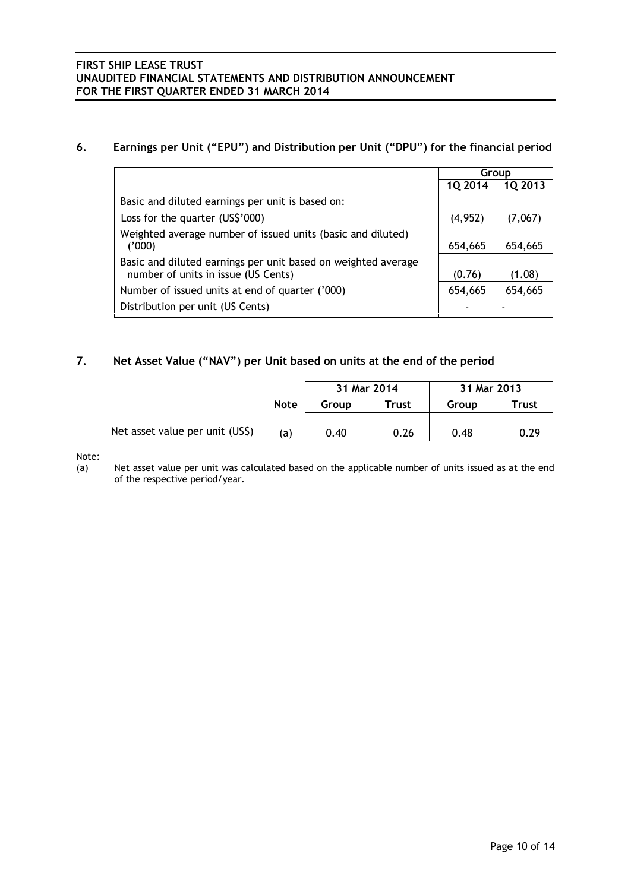## **6. Earnings per Unit ("EPU") and Distribution per Unit ("DPU") for the financial period**

|                                                                                                      | Group          |         |
|------------------------------------------------------------------------------------------------------|----------------|---------|
|                                                                                                      | <b>1Q 2014</b> | 1Q 2013 |
| Basic and diluted earnings per unit is based on:                                                     |                |         |
| Loss for the quarter (US\$'000)                                                                      | (4,952)        | (7,067) |
| Weighted average number of issued units (basic and diluted)<br>('000)                                | 654,665        | 654,665 |
| Basic and diluted earnings per unit based on weighted average<br>number of units in issue (US Cents) | (0.76)         | (1.08)  |
| Number of issued units at end of quarter ('000)                                                      | 654,665        | 654,665 |
| Distribution per unit (US Cents)                                                                     |                |         |

# **7. Net Asset Value ("NAV") per Unit based on units at the end of the period**

|                                 |             | 31 Mar 2014 |              | 31 Mar 2013 |       |
|---------------------------------|-------------|-------------|--------------|-------------|-------|
|                                 | <b>Note</b> | Group       | <b>Trust</b> | Group       | Trust |
| Net asset value per unit (US\$) |             |             |              |             |       |
|                                 | (a)         | 0.40        | 0.26         | 0.48        | 0.29  |

Note:

(a) Net asset value per unit was calculated based on the applicable number of units issued as at the end of the respective period/year.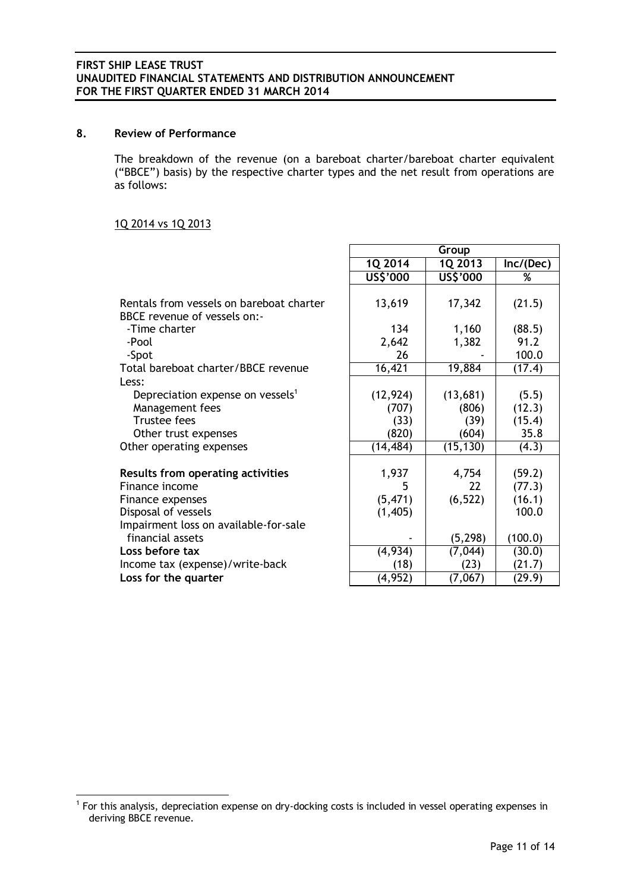## 8. Review of Performance

The breakdown of the revenue (on a bareboat charter/bareboat charter equivalent ("BBCE") basis) by the respective charter types and the net result from operations are as follows:

**Group**

## 1Q 2014 vs 1Q 2013

1

|                                                                                                                                         | 1Q 2014                             | 1Q 2013                            | Inc/(Dec)                           |
|-----------------------------------------------------------------------------------------------------------------------------------------|-------------------------------------|------------------------------------|-------------------------------------|
|                                                                                                                                         | US\$'000                            | US\$'000                           | %                                   |
| Rentals from vessels on bareboat charter<br>BBCE revenue of vessels on:-                                                                | 13,619                              | 17,342                             | (21.5)                              |
| -Time charter<br>-Pool                                                                                                                  | 134<br>2,642                        | 1,160<br>1,382                     | (88.5)<br>91.2                      |
| -Spot                                                                                                                                   | 26                                  |                                    | 100.0                               |
| Total bareboat charter/BBCE revenue                                                                                                     | 16,421                              | 19,884                             | (17.4)                              |
| Less:<br>Depreciation expense on vessels <sup>1</sup><br>Management fees<br><b>Trustee fees</b><br>Other trust expenses                 | (12, 924)<br>(707)<br>(33)<br>(820) | (13,681)<br>(806)<br>(39)<br>(604) | (5.5)<br>(12.3)<br>(15.4)<br>35.8   |
| Other operating expenses                                                                                                                | (14, 484)                           | (15, 130)                          | (4.3)                               |
| Results from operating activities<br>Finance income<br>Finance expenses<br>Disposal of vessels<br>Impairment loss on available-for-sale | 1,937<br>5<br>(5, 471)<br>(1, 405)  | 4,754<br>22<br>(6, 522)            | (59.2)<br>(77.3)<br>(16.1)<br>100.0 |
| financial assets                                                                                                                        |                                     | (5, 298)                           | (100.0)                             |
| Loss before tax                                                                                                                         | (4, 934)                            | (7,044)                            | (30.0)                              |
| Income tax (expense)/write-back                                                                                                         | (18)                                | (23)                               | (21.7)                              |
| Loss for the quarter                                                                                                                    | (4, 952)                            | (7,067)                            | (29.9)                              |

<sup>&</sup>lt;sup>1</sup> For this analysis, depreciation expense on dry-docking costs is included in vessel operating expenses in deriving BBCE revenue.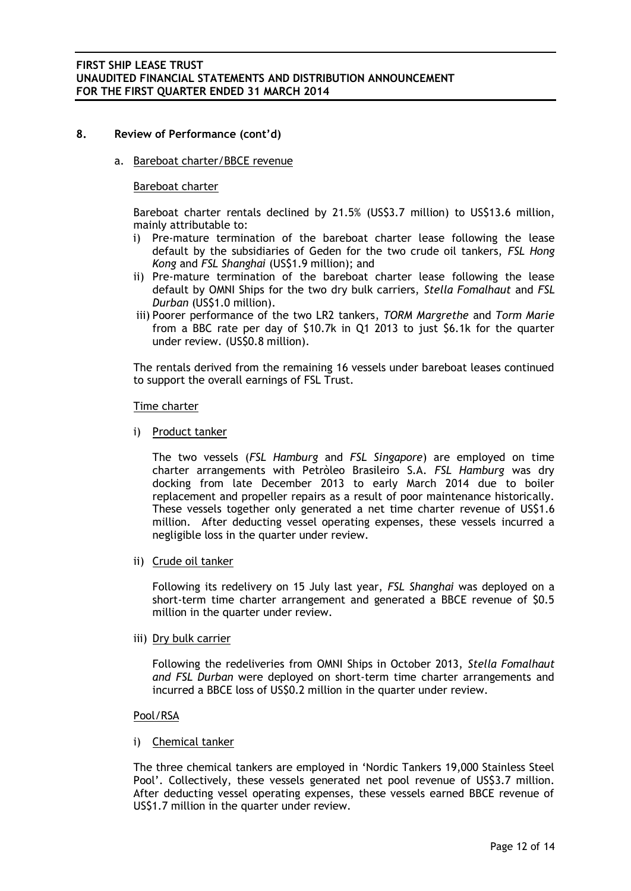## **8. Review of Performance (cont'd)**

a. Bareboat charter/BBCE revenue

### Bareboat charter

Bareboat charter rentals declined by 21.5% (US\$3.7 million) to US\$13.6 million, mainly attributable to:

- i) Pre-mature termination of the bareboat charter lease following the lease default by the subsidiaries of Geden for the two crude oil tankers, *FSL Hong Kong* and *FSL Shanghai* (US\$1.9 million); and
- ii) Pre-mature termination of the bareboat charter lease following the lease default by OMNI Ships for the two dry bulk carriers, *Stella Fomalhaut* and *FSL Durban* (US\$1.0 million).
- iii) Poorer performance of the two LR2 tankers, *TORM Margrethe* and *Torm Marie* from a BBC rate per day of \$10.7k in Q1 2013 to just \$6.1k for the quarter under review. (US\$0.8 million).

The rentals derived from the remaining 16 vessels under bareboat leases continued to support the overall earnings of FSL Trust.

### Time charter

i) Product tanker

The two vessels (*FSL Hamburg* and *FSL Singapore*) are employed on time charter arrangements with Petròleo Brasileiro S.A. *FSL Hamburg* was dry docking from late December 2013 to early March 2014 due to boiler replacement and propeller repairs as a result of poor maintenance historically. These vessels together only generated a net time charter revenue of US\$1.6 million. After deducting vessel operating expenses, these vessels incurred a negligible loss in the quarter under review.

ii) Crude oil tanker

Following its redelivery on 15 July last year, *FSL Shanghai* was deployed on a short-term time charter arrangement and generated a BBCE revenue of \$0.5 million in the quarter under review.

iii) Dry bulk carrier

Following the redeliveries from OMNI Ships in October 2013, *Stella Fomalhaut and FSL Durban* were deployed on short-term time charter arrangements and incurred a BBCE loss of US\$0.2 million in the quarter under review.

### Pool/RSA

### i) Chemical tanker

The three chemical tankers are employed in 'Nordic Tankers 19,000 Stainless Steel Pool'. Collectively, these vessels generated net pool revenue of US\$3.7 million. After deducting vessel operating expenses, these vessels earned BBCE revenue of US\$1.7 million in the quarter under review.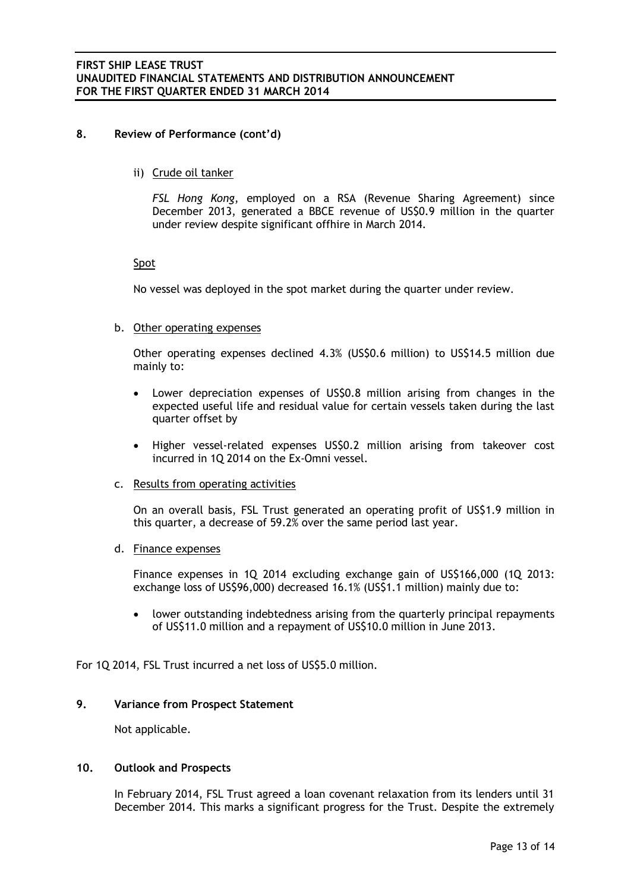## **8. Review of Performance (cont'd)**

ii) Crude oil tanker

*FSL Hong Kong*, employed on a RSA (Revenue Sharing Agreement) since December 2013, generated a BBCE revenue of US\$0.9 million in the quarter under review despite significant offhire in March 2014.

## Spot

No vessel was deployed in the spot market during the quarter under review.

### b. Other operating expenses

Other operating expenses declined 4.3% (US\$0.6 million) to US\$14.5 million due mainly to:

- Lower depreciation expenses of US\$0.8 million arising from changes in the expected useful life and residual value for certain vessels taken during the last quarter offset by
- Higher vessel-related expenses US\$0.2 million arising from takeover cost incurred in 1Q 2014 on the Ex-Omni vessel.

### c. Results from operating activities

On an overall basis, FSL Trust generated an operating profit of US\$1.9 million in this quarter, a decrease of 59.2% over the same period last year.

## d. Finance expenses

Finance expenses in 1Q 2014 excluding exchange gain of US\$166,000 (1Q 2013: exchange loss of US\$96,000) decreased 16.1% (US\$1.1 million) mainly due to:

 lower outstanding indebtedness arising from the quarterly principal repayments of US\$11.0 million and a repayment of US\$10.0 million in June 2013.

For 1Q 2014, FSL Trust incurred a net loss of US\$5.0 million.

## **9. Variance from Prospect Statement**

Not applicable.

## **10. Outlook and Prospects**

In February 2014, FSL Trust agreed a loan covenant relaxation from its lenders until 31 December 2014. This marks a significant progress for the Trust. Despite the extremely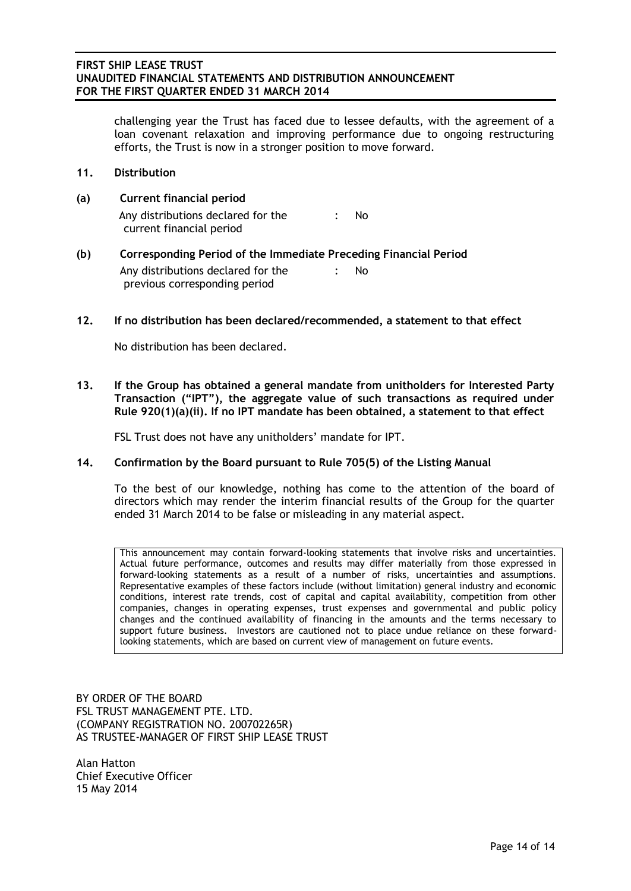challenging year the Trust has faced due to lessee defaults, with the agreement of a loan covenant relaxation and improving performance due to ongoing restructuring efforts, the Trust is now in a stronger position to move forward.

- **11. Distribution**
- **(a) Current financial period** Any distributions declared for the current financial period : No
- **(b) Corresponding Period of the Immediate Preceding Financial Period** Any distributions declared for the previous corresponding period : No
- **12. If no distribution has been declared/recommended, a statement to that effect**

No distribution has been declared.

**13. If the Group has obtained a general mandate from unitholders for Interested Party Transaction ("IPT"), the aggregate value of such transactions as required under Rule 920(1)(a)(ii). If no IPT mandate has been obtained, a statement to that effect**

FSL Trust does not have any unitholders' mandate for IPT.

### **14. Confirmation by the Board pursuant to Rule 705(5) of the Listing Manual**

To the best of our knowledge, nothing has come to the attention of the board of directors which may render the interim financial results of the Group for the quarter ended 31 March 2014 to be false or misleading in any material aspect.

This announcement may contain forward-looking statements that involve risks and uncertainties. Actual future performance, outcomes and results may differ materially from those expressed in forward-looking statements as a result of a number of risks, uncertainties and assumptions. Representative examples of these factors include (without limitation) general industry and economic conditions, interest rate trends, cost of capital and capital availability, competition from other companies, changes in operating expenses, trust expenses and governmental and public policy changes and the continued availability of financing in the amounts and the terms necessary to support future business. Investors are cautioned not to place undue reliance on these forwardlooking statements, which are based on current view of management on future events.

BY ORDER OF THE BOARD FSL TRUST MANAGEMENT PTE. LTD. (COMPANY REGISTRATION NO. 200702265R) AS TRUSTEE-MANAGER OF FIRST SHIP LEASE TRUST

Alan Hatton Chief Executive Officer 15 May 2014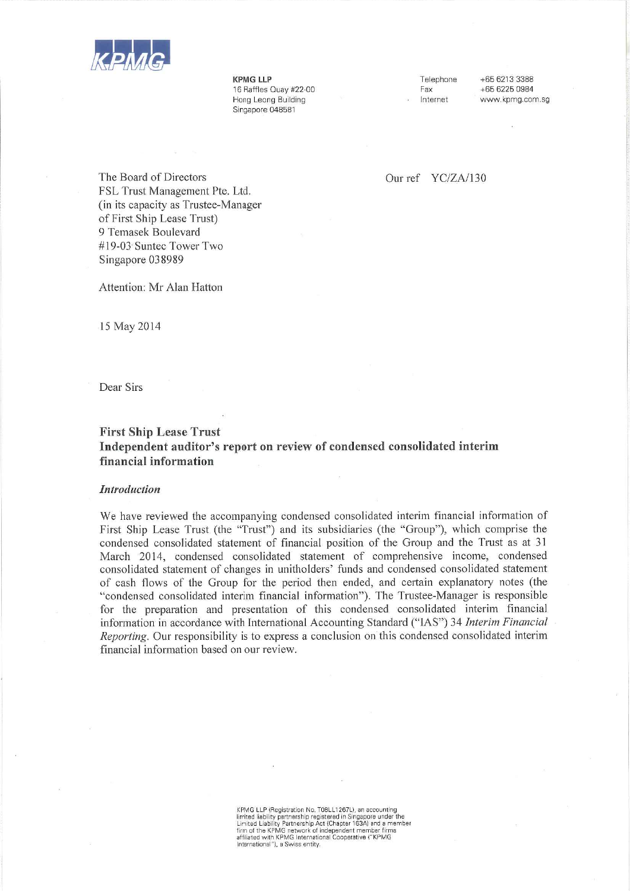

**KPMG LLP** 16 Raffles Quay #22-00 Hong Leong Building Singapore 048581

Telephone Fax Internet

+65 6213 3388 +65 6225 0984 www.kpmg.com.sg

Our ref YC/ZA/130

The Board of Directors FSL Trust Management Pte. Ltd. (in its capacity as Trustee-Manager) of First Ship Lease Trust) 9 Temasek Boulevard #19-03 Suntec Tower Two Singapore 038989

Attention: Mr Alan Hatton

15 May 2014

Dear Sirs

## **First Ship Lease Trust** Independent auditor's report on review of condensed consolidated interim financial information

#### **Introduction**

We have reviewed the accompanying condensed consolidated interim financial information of First Ship Lease Trust (the "Trust") and its subsidiaries (the "Group"), which comprise the condensed consolidated statement of financial position of the Group and the Trust as at 31 March 2014, condensed consolidated statement of comprehensive income, condensed consolidated statement of changes in unitholders' funds and condensed consolidated statement of cash flows of the Group for the period then ended, and certain explanatory notes (the "condensed consolidated interim financial information"). The Trustee-Manager is responsible for the preparation and presentation of this condensed consolidated interim financial information in accordance with International Accounting Standard ("IAS") 34 Interim Financial *Reporting.* Our responsibility is to express a conclusion on this condensed consolidated interim financial information based on our review.

> KPMG LLP (Registration No. T08LL1267L), an accounting<br>limited liability partnership registered in Singapore under the<br>Limited Liability Partnership Act (Chapter 163A) and a member Einricht Lebenstein († 1818)<br>18 Mai: John Hartwork of Independent member firms<br>18 Milliated with KPMG International Cooperative (\* KPMG<br>18 International \*), a Swiss entity.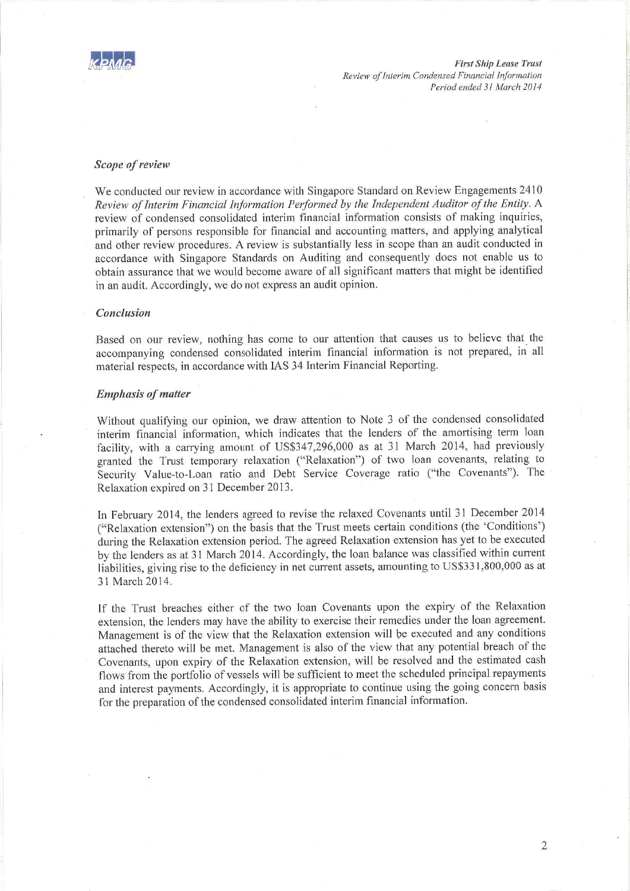

#### Scope of review

We conducted our review in accordance with Singapore Standard on Review Engagements 2410 Review of Interim Financial Information Performed by the Independent Auditor of the Entity. A review of condensed consolidated interim financial information consists of making inquiries, primarily of persons responsible for financial and accounting matters, and applying analytical and other review procedures. A review is substantially less in scope than an audit conducted in accordance with Singapore Standards on Auditing and consequently does not enable us to obtain assurance that we would become aware of all significant matters that might be identified in an audit. Accordingly, we do not express an audit opinion.

### Conclusion

Based on our review, nothing has come to our attention that causes us to believe that the accompanying condensed consolidated interim financial information is not prepared, in all material respects, in accordance with IAS 34 Interim Financial Reporting.

#### **Emphasis of matter**

Without qualifying our opinion, we draw attention to Note 3 of the condensed consolidated interim financial information, which indicates that the lenders of the amortising term loan facility, with a carrying amount of US\$347,296,000 as at 31 March 2014, had previously granted the Trust temporary relaxation ("Relaxation") of two loan covenants, relating to Security Value-to-Loan ratio and Debt Service Coverage ratio ("the Covenants"). The Relaxation expired on 31 December 2013.

In February 2014, the lenders agreed to revise the relaxed Covenants until 31 December 2014 ("Relaxation extension") on the basis that the Trust meets certain conditions (the 'Conditions') during the Relaxation extension period. The agreed Relaxation extension has yet to be executed by the lenders as at 31 March 2014. Accordingly, the loan balance was classified within current liabilities, giving rise to the deficiency in net current assets, amounting to US\$331,800,000 as at 31 March 2014.

If the Trust breaches either of the two loan Covenants upon the expiry of the Relaxation extension, the lenders may have the ability to exercise their remedies under the loan agreement. Management is of the view that the Relaxation extension will be executed and any conditions attached thereto will be met. Management is also of the view that any potential breach of the Covenants, upon expiry of the Relaxation extension, will be resolved and the estimated cash flows from the portfolio of vessels will be sufficient to meet the scheduled principal repayments and interest payments. Accordingly, it is appropriate to continue using the going concern basis for the preparation of the condensed consolidated interim financial information.